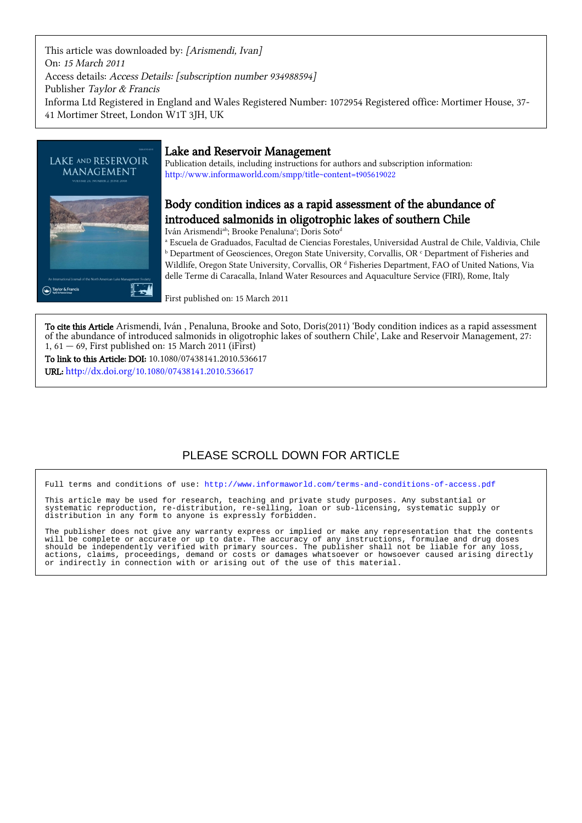This article was downloaded by: [Arismendi, Ivan] On: 15 March 2011 Access details: Access Details: [subscription number 934988594] Publisher Taylor & Francis Informa Ltd Registered in England and Wales Registered Number: 1072954 Registered office: Mortimer House, 37- 41 Mortimer Street, London W1T 3JH, UK



To cite this Article Arismendi, Iván , Penaluna, Brooke and Soto, Doris(2011) 'Body condition indices as a rapid assessment of the abundance of introduced salmonids in oligotrophic lakes of southern Chile', Lake and Reservoir Management, 27: 1,  $61 - 69$ , First published on: 15 March 2011 (iFirst)

To link to this Article: DOI: 10.1080/07438141.2010.536617 URL: <http://dx.doi.org/10.1080/07438141.2010.536617>

### PLEASE SCROLL DOWN FOR ARTICLE

Full terms and conditions of use:<http://www.informaworld.com/terms-and-conditions-of-access.pdf>

This article may be used for research, teaching and private study purposes. Any substantial or systematic reproduction, re-distribution, re-selling, loan or sub-licensing, systematic supply or distribution in any form to anyone is expressly forbidden.

The publisher does not give any warranty express or implied or make any representation that the contents will be complete or accurate or up to date. The accuracy of any instructions, formulae and drug doses should be independently verified with primary sources. The publisher shall not be liable for any loss, actions, claims, proceedings, demand or costs or damages whatsoever or howsoever caused arising directly or indirectly in connection with or arising out of the use of this material.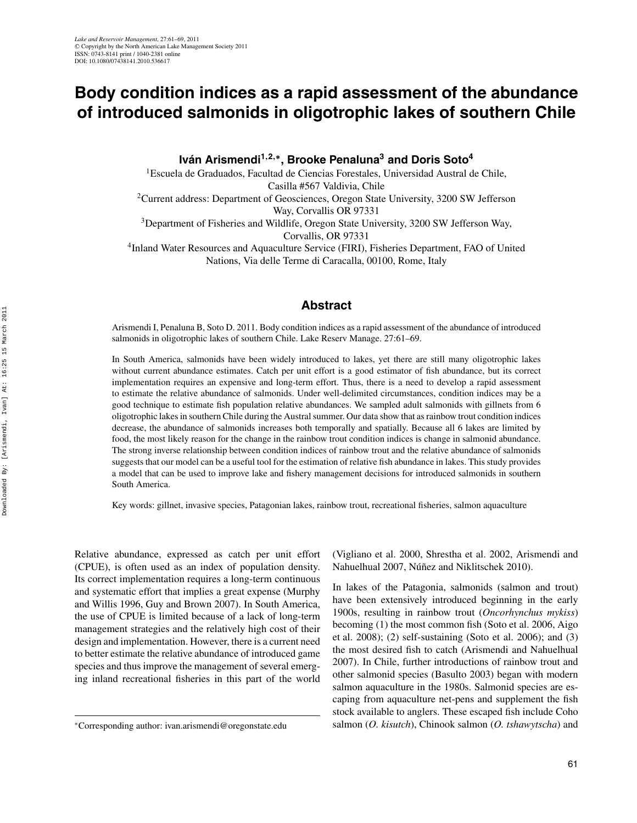# **Body condition indices as a rapid assessment of the abundance of introduced salmonids in oligotrophic lakes of southern Chile**

**Ivan Arismendi ´ <sup>1</sup>***,***2***,***∗, Brooke Penaluna3 and Doris Soto<sup>4</sup>**

 ${}^{1}$ Escuela de Graduados, Facultad de Ciencias Forestales, Universidad Austral de Chile. Casilla #567 Valdivia, Chile 2Current address: Department of Geosciences, Oregon State University, 3200 SW Jefferson Way, Corvallis OR 97331

<sup>3</sup>Department of Fisheries and Wildlife, Oregon State University, 3200 SW Jefferson Way, Corvallis, OR 97331

4Inland Water Resources and Aquaculture Service (FIRI), Fisheries Department, FAO of United Nations, Via delle Terme di Caracalla, 00100, Rome, Italy

#### **Abstract**

Arismendi I, Penaluna B, Soto D. 2011. Body condition indices as a rapid assessment of the abundance of introduced salmonids in oligotrophic lakes of southern Chile. Lake Reserv Manage. 27:61–69.

In South America, salmonids have been widely introduced to lakes, yet there are still many oligotrophic lakes without current abundance estimates. Catch per unit effort is a good estimator of fish abundance, but its correct implementation requires an expensive and long-term effort. Thus, there is a need to develop a rapid assessment to estimate the relative abundance of salmonids. Under well-delimited circumstances, condition indices may be a good technique to estimate fish population relative abundances. We sampled adult salmonids with gillnets from 6 oligotrophic lakes in southern Chile during the Austral summer. Our data show that as rainbow trout condition indices decrease, the abundance of salmonids increases both temporally and spatially. Because all 6 lakes are limited by food, the most likely reason for the change in the rainbow trout condition indices is change in salmonid abundance. The strong inverse relationship between condition indices of rainbow trout and the relative abundance of salmonids suggests that our model can be a useful tool for the estimation of relative fish abundance in lakes. This study provides a model that can be used to improve lake and fishery management decisions for introduced salmonids in southern South America.

Key words: gillnet, invasive species, Patagonian lakes, rainbow trout, recreational fisheries, salmon aquaculture

Relative abundance, expressed as catch per unit effort (CPUE), is often used as an index of population density. Its correct implementation requires a long-term continuous and systematic effort that implies a great expense (Murphy and Willis 1996, Guy and Brown 2007). In South America, the use of CPUE is limited because of a lack of long-term management strategies and the relatively high cost of their design and implementation. However, there is a current need to better estimate the relative abundance of introduced game species and thus improve the management of several emerging inland recreational fisheries in this part of the world

(Vigliano et al. 2000, Shrestha et al. 2002, Arismendi and Nahuelhual 2007, Núñez and Niklitschek 2010).

In lakes of the Patagonia, salmonids (salmon and trout) have been extensively introduced beginning in the early 1900s, resulting in rainbow trout (*Oncorhynchus mykiss*) becoming (1) the most common fish (Soto et al. 2006, Aigo et al. 2008); (2) self-sustaining (Soto et al. 2006); and (3) the most desired fish to catch (Arismendi and Nahuelhual 2007). In Chile, further introductions of rainbow trout and other salmonid species (Basulto 2003) began with modern salmon aquaculture in the 1980s. Salmonid species are escaping from aquaculture net-pens and supplement the fish stock available to anglers. These escaped fish include Coho salmon (*O. kisutch*), Chinook salmon (*O. tshawytscha*) and

<sup>∗</sup>Corresponding author: ivan.arismendi@oregonstate.edu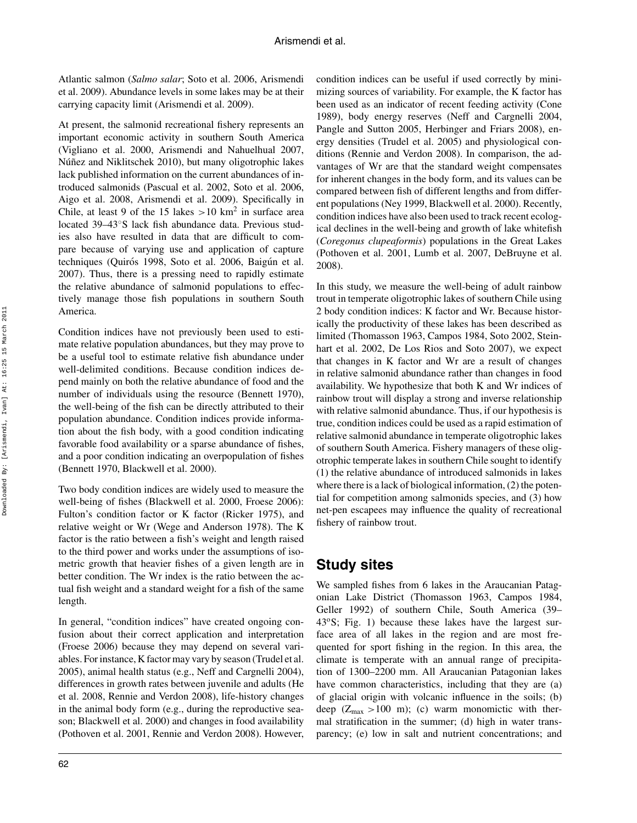Atlantic salmon (*Salmo salar*; Soto et al. 2006, Arismendi et al. 2009). Abundance levels in some lakes may be at their carrying capacity limit (Arismendi et al. 2009).

At present, the salmonid recreational fishery represents an important economic activity in southern South America (Vigliano et al. 2000, Arismendi and Nahuelhual 2007, Núñez and Niklitschek 2010), but many oligotrophic lakes lack published information on the current abundances of introduced salmonids (Pascual et al. 2002, Soto et al. 2006, Aigo et al. 2008, Arismendi et al. 2009). Specifically in Chile, at least 9 of the 15 lakes  $>10$  km<sup>2</sup> in surface area located 39–43◦S lack fish abundance data. Previous studies also have resulted in data that are difficult to compare because of varying use and application of capture techniques (Quirós 1998, Soto et al. 2006, Baigún et al. 2007). Thus, there is a pressing need to rapidly estimate the relative abundance of salmonid populations to effectively manage those fish populations in southern South America.

Condition indices have not previously been used to estimate relative population abundances, but they may prove to be a useful tool to estimate relative fish abundance under well-delimited conditions. Because condition indices depend mainly on both the relative abundance of food and the number of individuals using the resource (Bennett 1970), the well-being of the fish can be directly attributed to their population abundance. Condition indices provide information about the fish body, with a good condition indicating favorable food availability or a sparse abundance of fishes, and a poor condition indicating an overpopulation of fishes (Bennett 1970, Blackwell et al. 2000).

Two body condition indices are widely used to measure the well-being of fishes (Blackwell et al. 2000, Froese 2006): Fulton's condition factor or K factor (Ricker 1975), and relative weight or Wr (Wege and Anderson 1978). The K factor is the ratio between a fish's weight and length raised to the third power and works under the assumptions of isometric growth that heavier fishes of a given length are in better condition. The Wr index is the ratio between the actual fish weight and a standard weight for a fish of the same length.

In general, "condition indices" have created ongoing confusion about their correct application and interpretation (Froese 2006) because they may depend on several variables. For instance, K factor may vary by season (Trudel et al. 2005), animal health status (e.g., Neff and Cargnelli 2004), differences in growth rates between juvenile and adults (He et al. 2008, Rennie and Verdon 2008), life-history changes in the animal body form (e.g., during the reproductive season; Blackwell et al. 2000) and changes in food availability (Pothoven et al. 2001, Rennie and Verdon 2008). However, condition indices can be useful if used correctly by minimizing sources of variability. For example, the K factor has been used as an indicator of recent feeding activity (Cone 1989), body energy reserves (Neff and Cargnelli 2004, Pangle and Sutton 2005, Herbinger and Friars 2008), energy densities (Trudel et al. 2005) and physiological conditions (Rennie and Verdon 2008). In comparison, the advantages of Wr are that the standard weight compensates for inherent changes in the body form, and its values can be compared between fish of different lengths and from different populations (Ney 1999, Blackwell et al. 2000). Recently, condition indices have also been used to track recent ecological declines in the well-being and growth of lake whitefish (*Coregonus clupeaformis*) populations in the Great Lakes (Pothoven et al. 2001, Lumb et al. 2007, DeBruyne et al. 2008).

In this study, we measure the well-being of adult rainbow trout in temperate oligotrophic lakes of southern Chile using 2 body condition indices: K factor and Wr. Because historically the productivity of these lakes has been described as limited (Thomasson 1963, Campos 1984, Soto 2002, Steinhart et al. 2002, De Los Rios and Soto 2007), we expect that changes in K factor and Wr are a result of changes in relative salmonid abundance rather than changes in food availability. We hypothesize that both K and Wr indices of rainbow trout will display a strong and inverse relationship with relative salmonid abundance. Thus, if our hypothesis is true, condition indices could be used as a rapid estimation of relative salmonid abundance in temperate oligotrophic lakes of southern South America. Fishery managers of these oligotrophic temperate lakes in southern Chile sought to identify (1) the relative abundance of introduced salmonids in lakes where there is a lack of biological information, (2) the potential for competition among salmonids species, and (3) how net-pen escapees may influence the quality of recreational fishery of rainbow trout.

# **Study sites**

We sampled fishes from 6 lakes in the Araucanian Patagonian Lake District (Thomasson 1963, Campos 1984, Geller 1992) of southern Chile, South America (39– 43oS; Fig. 1) because these lakes have the largest surface area of all lakes in the region and are most frequented for sport fishing in the region. In this area, the climate is temperate with an annual range of precipitation of 1300–2200 mm. All Araucanian Patagonian lakes have common characteristics, including that they are (a) of glacial origin with volcanic influence in the soils; (b) deep  $(Z_{\text{max}} > 100 \text{ m})$ ; (c) warm monomictic with thermal stratification in the summer; (d) high in water transparency; (e) low in salt and nutrient concentrations; and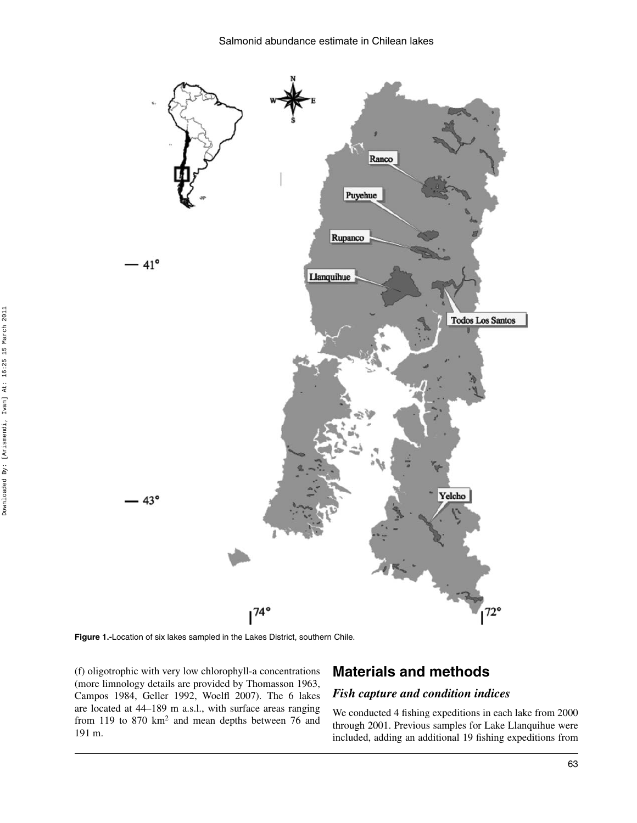

**Figure 1.-**Location of six lakes sampled in the Lakes District, southern Chile.

(f) oligotrophic with very low chlorophyll-a concentrations (more limnology details are provided by Thomasson 1963, Campos 1984, Geller 1992, Woelfl 2007). The 6 lakes are located at 44–189 m a.s.l., with surface areas ranging from 119 to 870 km2 and mean depths between 76 and 191 m.

# **Materials and methods**

### *Fish capture and condition indices*

We conducted 4 fishing expeditions in each lake from 2000 through 2001. Previous samples for Lake Llanquihue were included, adding an additional 19 fishing expeditions from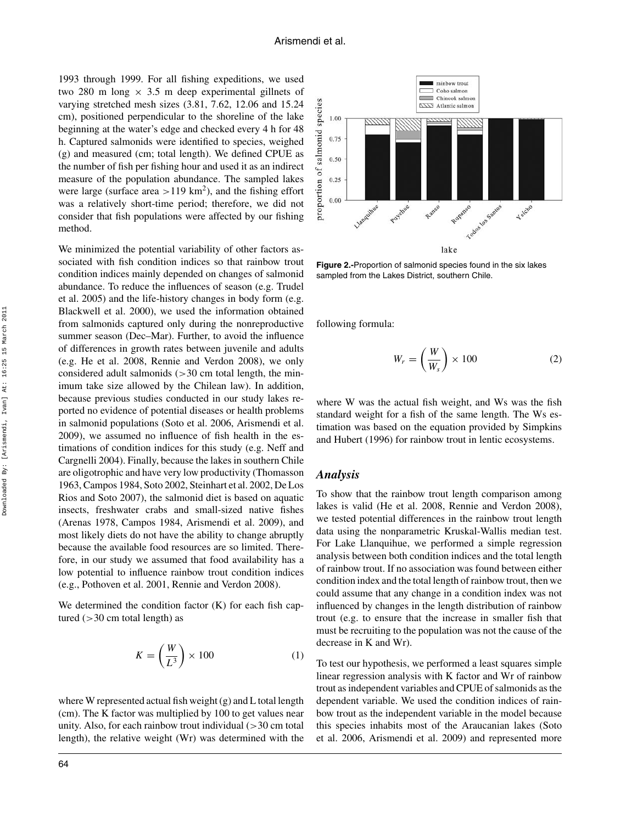1993 through 1999. For all fishing expeditions, we used two 280 m long  $\times$  3.5 m deep experimental gillnets of varying stretched mesh sizes (3.81, 7.62, 12.06 and 15.24 cm), positioned perpendicular to the shoreline of the lake beginning at the water's edge and checked every 4 h for 48 h. Captured salmonids were identified to species, weighed (g) and measured (cm; total length). We defined CPUE as the number of fish per fishing hour and used it as an indirect measure of the population abundance. The sampled lakes were large (surface area  $>119$  km<sup>2</sup>), and the fishing effort was a relatively short-time period; therefore, we did not consider that fish populations were affected by our fishing method.

We minimized the potential variability of other factors associated with fish condition indices so that rainbow trout condition indices mainly depended on changes of salmonid abundance. To reduce the influences of season (e.g. Trudel et al. 2005) and the life-history changes in body form (e.g. Blackwell et al. 2000), we used the information obtained from salmonids captured only during the nonreproductive summer season (Dec–Mar). Further, to avoid the influence of differences in growth rates between juvenile and adults (e.g. He et al. 2008, Rennie and Verdon 2008), we only considered adult salmonids (*>*30 cm total length, the minimum take size allowed by the Chilean law). In addition, because previous studies conducted in our study lakes reported no evidence of potential diseases or health problems in salmonid populations (Soto et al. 2006, Arismendi et al. 2009), we assumed no influence of fish health in the estimations of condition indices for this study (e.g. Neff and Cargnelli 2004). Finally, because the lakes in southern Chile are oligotrophic and have very low productivity (Thomasson 1963, Campos 1984, Soto 2002, Steinhart et al. 2002, De Los Rios and Soto 2007), the salmonid diet is based on aquatic insects, freshwater crabs and small-sized native fishes (Arenas 1978, Campos 1984, Arismendi et al. 2009), and most likely diets do not have the ability to change abruptly because the available food resources are so limited. Therefore, in our study we assumed that food availability has a low potential to influence rainbow trout condition indices (e.g., Pothoven et al. 2001, Rennie and Verdon 2008).

We determined the condition factor  $(K)$  for each fish captured (*>*30 cm total length) as

$$
K = \left(\frac{W}{L^3}\right) \times 100\tag{1}
$$

where W represented actual fish weight (g) and L total length (cm). The K factor was multiplied by 100 to get values near unity. Also, for each rainbow trout individual (*>*30 cm total length), the relative weight (Wr) was determined with the



**Figure 2.-**Proportion of salmonid species found in the six lakes sampled from the Lakes District, southern Chile.

following formula:

$$
W_r = \left(\frac{W}{W_s}\right) \times 100\tag{2}
$$

where W was the actual fish weight, and Ws was the fish standard weight for a fish of the same length. The Ws estimation was based on the equation provided by Simpkins and Hubert (1996) for rainbow trout in lentic ecosystems.

#### *Analysis*

To show that the rainbow trout length comparison among lakes is valid (He et al. 2008, Rennie and Verdon 2008), we tested potential differences in the rainbow trout length data using the nonparametric Kruskal-Wallis median test. For Lake Llanquihue, we performed a simple regression analysis between both condition indices and the total length of rainbow trout. If no association was found between either condition index and the total length of rainbow trout, then we could assume that any change in a condition index was not influenced by changes in the length distribution of rainbow trout (e.g. to ensure that the increase in smaller fish that must be recruiting to the population was not the cause of the decrease in K and Wr).

To test our hypothesis, we performed a least squares simple linear regression analysis with K factor and Wr of rainbow trout as independent variables and CPUE of salmonids as the dependent variable. We used the condition indices of rainbow trout as the independent variable in the model because this species inhabits most of the Araucanian lakes (Soto et al. 2006, Arismendi et al. 2009) and represented more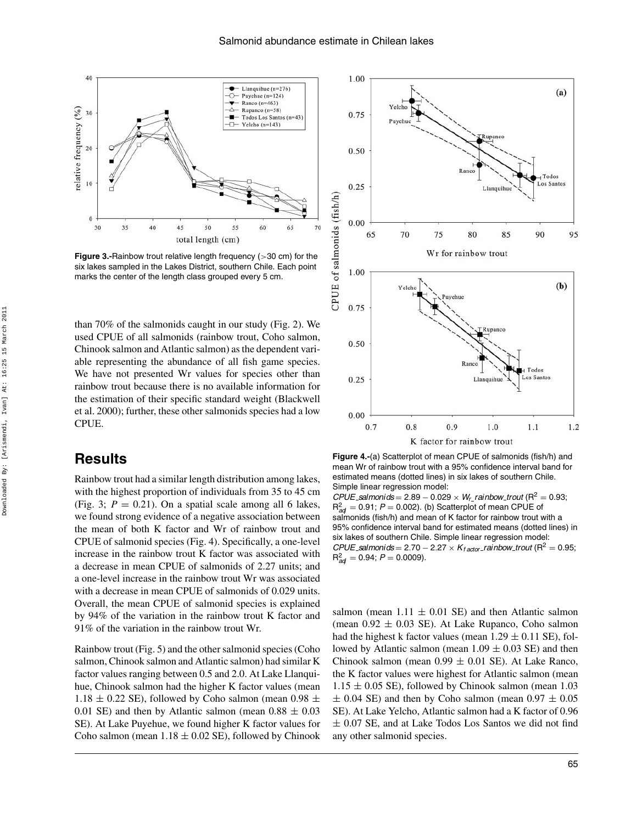

**Figure 3.-**Rainbow trout relative length frequency (*>*30 cm) for the six lakes sampled in the Lakes District, southern Chile. Each point marks the center of the length class grouped every 5 cm.

than 70% of the salmonids caught in our study (Fig. 2). We used CPUE of all salmonids (rainbow trout, Coho salmon, Chinook salmon and Atlantic salmon) as the dependent variable representing the abundance of all fish game species. We have not presented Wr values for species other than rainbow trout because there is no available information for the estimation of their specific standard weight (Blackwell et al. 2000); further, these other salmonids species had a low CPUE.

### **Results**

Rainbow trout had a similar length distribution among lakes, with the highest proportion of individuals from 35 to 45 cm (Fig. 3;  $P = 0.21$ ). On a spatial scale among all 6 lakes, we found strong evidence of a negative association between the mean of both K factor and Wr of rainbow trout and CPUE of salmonid species (Fig. 4). Specifically, a one-level increase in the rainbow trout K factor was associated with a decrease in mean CPUE of salmonids of 2.27 units; and a one-level increase in the rainbow trout Wr was associated with a decrease in mean CPUE of salmonids of 0.029 units. Overall, the mean CPUE of salmonid species is explained by 94% of the variation in the rainbow trout K factor and 91% of the variation in the rainbow trout Wr.

Rainbow trout (Fig. 5) and the other salmonid species (Coho salmon, Chinook salmon and Atlantic salmon) had similar K factor values ranging between 0.5 and 2.0. At Lake Llanquihue, Chinook salmon had the higher K factor values (mean  $1.18 \pm 0.22$  SE), followed by Coho salmon (mean 0.98  $\pm$ 0.01 SE) and then by Atlantic salmon (mean  $0.88 \pm 0.03$ SE). At Lake Puyehue, we found higher K factor values for Coho salmon (mean  $1.18 \pm 0.02$  SE), followed by Chinook



**Figure 4.-**(a) Scatterplot of mean CPUE of salmonids (fish/h) and mean Wr of rainbow trout with a 95% confidence interval band for estimated means (dotted lines) in six lakes of southern Chile. Simple linear regression model:

 $C PUE\_salmonids = 2.89 - 0.029 \times W_{r\_rainbow\_trout}$  (R<sup>2</sup> = 0.93;  $R_{aq}^2 = 0.91$ ;  $P = 0.002$ ). (b) Scatterplot of mean CPUE of salmonids (fish/h) and mean of K factor for rainbow trout with a 95% confidence interval band for estimated means (dotted lines) in six lakes of southern Chile. Simple linear regression model:  $C PUE$  salmonids = 2.70 - 2.27  $\times$  K<sub>f actor</sub> rainbow trout (R<sup>2</sup> = 0.95;  $R_{\textit{adj}}^2 = 0.94$ ;  $P = 0.0009$ ).

salmon (mean  $1.11 \pm 0.01$  SE) and then Atlantic salmon (mean  $0.92 \pm 0.03$  SE). At Lake Rupanco, Coho salmon had the highest k factor values (mean  $1.29 \pm 0.11$  SE), followed by Atlantic salmon (mean  $1.09 \pm 0.03$  SE) and then Chinook salmon (mean  $0.99 \pm 0.01$  SE). At Lake Ranco, the K factor values were highest for Atlantic salmon (mean  $1.15 \pm 0.05$  SE), followed by Chinook salmon (mean 1.03  $\pm$  0.04 SE) and then by Coho salmon (mean 0.97  $\pm$  0.05 SE). At Lake Yelcho, Atlantic salmon had a K factor of 0.96 ± 0.07 SE, and at Lake Todos Los Santos we did not find any other salmonid species.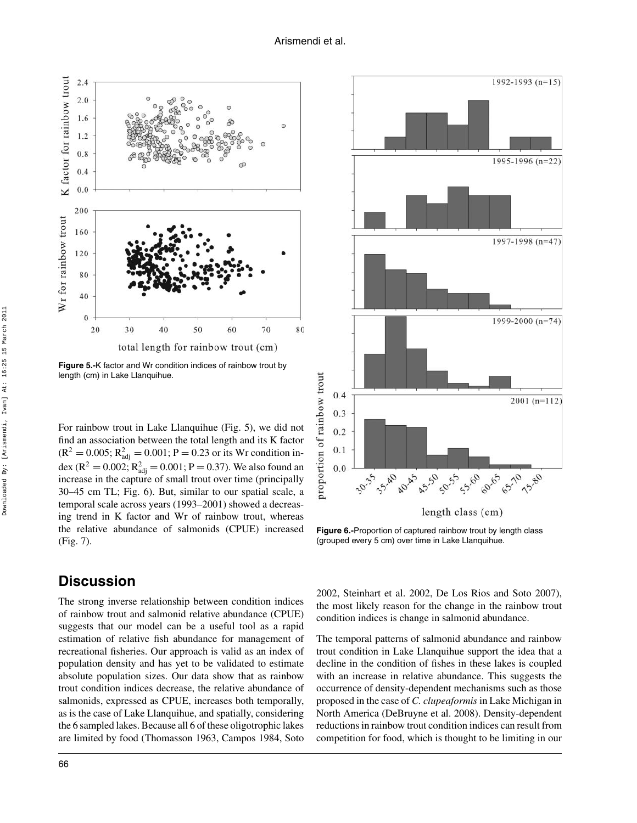

**Figure 5.-**K factor and Wr condition indices of rainbow trout by length (cm) in Lake Llanquihue.

For rainbow trout in Lake Llanquihue (Fig. 5), we did not find an association between the total length and its K factor  $(R^2 = 0.005; R^2_{\text{adj}} = 0.001; P = 0.23 \text{ or its Wr condition in-}$ dex ( $R^2 = 0.002$ ;  $R^2_{\text{adj}} = 0.001$ ;  $P = 0.37$ ). We also found an increase in the capture of small trout over time (principally 30–45 cm TL; Fig. 6). But, similar to our spatial scale, a temporal scale across years (1993–2001) showed a decreasing trend in K factor and Wr of rainbow trout, whereas the relative abundance of salmonids (CPUE) increased (Fig. 7).

### **Discussion**

The strong inverse relationship between condition indices of rainbow trout and salmonid relative abundance (CPUE) suggests that our model can be a useful tool as a rapid estimation of relative fish abundance for management of recreational fisheries. Our approach is valid as an index of population density and has yet to be validated to estimate absolute population sizes. Our data show that as rainbow trout condition indices decrease, the relative abundance of salmonids, expressed as CPUE, increases both temporally, as is the case of Lake Llanquihue, and spatially, considering the 6 sampled lakes. Because all 6 of these oligotrophic lakes are limited by food (Thomasson 1963, Campos 1984, Soto



**Figure 6.-**Proportion of captured rainbow trout by length class (grouped every 5 cm) over time in Lake Llanquihue.

2002, Steinhart et al. 2002, De Los Rios and Soto 2007), the most likely reason for the change in the rainbow trout condition indices is change in salmonid abundance.

The temporal patterns of salmonid abundance and rainbow trout condition in Lake Llanquihue support the idea that a decline in the condition of fishes in these lakes is coupled with an increase in relative abundance. This suggests the occurrence of density-dependent mechanisms such as those proposed in the case of *C. clupeaformis* in Lake Michigan in North America (DeBruyne et al. 2008). Density-dependent reductions in rainbow trout condition indices can result from competition for food, which is thought to be limiting in our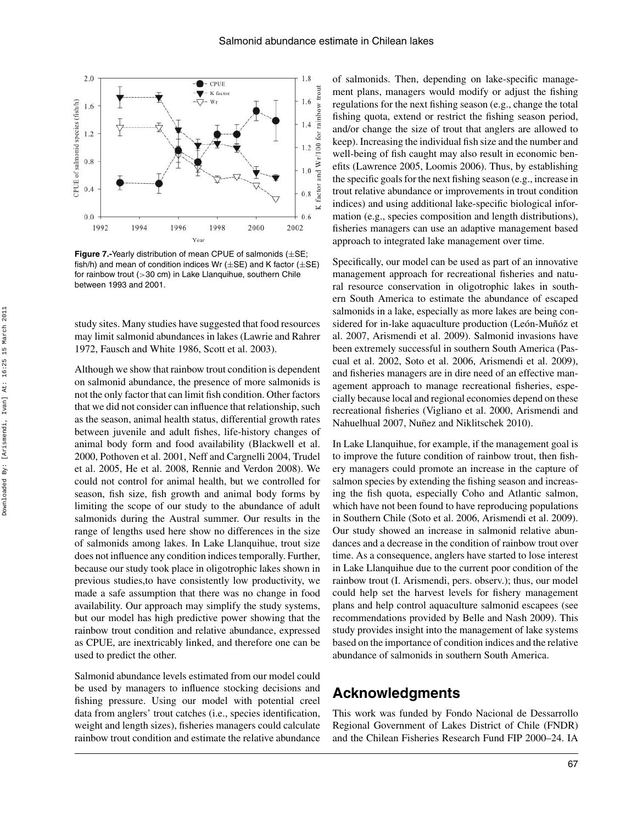

**Figure 7.-**Yearly distribution of mean CPUE of salmonids (±SE; fish/h) and mean of condition indices Wr ( $\pm$ SE) and K factor ( $\pm$ SE) for rainbow trout (*>*30 cm) in Lake Llanquihue, southern Chile between 1993 and 2001.

study sites. Many studies have suggested that food resources may limit salmonid abundances in lakes (Lawrie and Rahrer 1972, Fausch and White 1986, Scott et al. 2003).

Although we show that rainbow trout condition is dependent on salmonid abundance, the presence of more salmonids is not the only factor that can limit fish condition. Other factors that we did not consider can influence that relationship, such as the season, animal health status, differential growth rates between juvenile and adult fishes, life-history changes of animal body form and food availability (Blackwell et al. 2000, Pothoven et al. 2001, Neff and Cargnelli 2004, Trudel et al. 2005, He et al. 2008, Rennie and Verdon 2008). We could not control for animal health, but we controlled for season, fish size, fish growth and animal body forms by limiting the scope of our study to the abundance of adult salmonids during the Austral summer. Our results in the range of lengths used here show no differences in the size of salmonids among lakes. In Lake Llanquihue, trout size does not influence any condition indices temporally. Further, because our study took place in oligotrophic lakes shown in previous studies,to have consistently low productivity, we made a safe assumption that there was no change in food availability. Our approach may simplify the study systems, but our model has high predictive power showing that the rainbow trout condition and relative abundance, expressed as CPUE, are inextricably linked, and therefore one can be used to predict the other.

Salmonid abundance levels estimated from our model could be used by managers to influence stocking decisions and fishing pressure. Using our model with potential creel data from anglers' trout catches (i.e., species identification, weight and length sizes), fisheries managers could calculate rainbow trout condition and estimate the relative abundance

of salmonids. Then, depending on lake-specific management plans, managers would modify or adjust the fishing regulations for the next fishing season (e.g., change the total fishing quota, extend or restrict the fishing season period, and/or change the size of trout that anglers are allowed to keep). Increasing the individual fish size and the number and well-being of fish caught may also result in economic benefits (Lawrence 2005, Loomis 2006). Thus, by establishing the specific goals for the next fishing season (e.g., increase in trout relative abundance or improvements in trout condition indices) and using additional lake-specific biological information (e.g., species composition and length distributions), fisheries managers can use an adaptive management based approach to integrated lake management over time.

Specifically, our model can be used as part of an innovative management approach for recreational fisheries and natural resource conservation in oligotrophic lakes in southern South America to estimate the abundance of escaped salmonids in a lake, especially as more lakes are being considered for in-lake aquaculture production (León-Muñóz et al. 2007, Arismendi et al. 2009). Salmonid invasions have been extremely successful in southern South America (Pascual et al. 2002, Soto et al. 2006, Arismendi et al. 2009), and fisheries managers are in dire need of an effective management approach to manage recreational fisheries, especially because local and regional economies depend on these recreational fisheries (Vigliano et al. 2000, Arismendi and Nahuelhual 2007, Nuñez and Niklitschek 2010).

In Lake Llanquihue, for example, if the management goal is to improve the future condition of rainbow trout, then fishery managers could promote an increase in the capture of salmon species by extending the fishing season and increasing the fish quota, especially Coho and Atlantic salmon, which have not been found to have reproducing populations in Southern Chile (Soto et al. 2006, Arismendi et al. 2009). Our study showed an increase in salmonid relative abundances and a decrease in the condition of rainbow trout over time. As a consequence, anglers have started to lose interest in Lake Llanquihue due to the current poor condition of the rainbow trout (I. Arismendi, pers. observ.); thus, our model could help set the harvest levels for fishery management plans and help control aquaculture salmonid escapees (see recommendations provided by Belle and Nash 2009). This study provides insight into the management of lake systems based on the importance of condition indices and the relative abundance of salmonids in southern South America.

# **Acknowledgments**

This work was funded by Fondo Nacional de Dessarrollo Regional Government of Lakes District of Chile (FNDR) and the Chilean Fisheries Research Fund FIP 2000–24. IA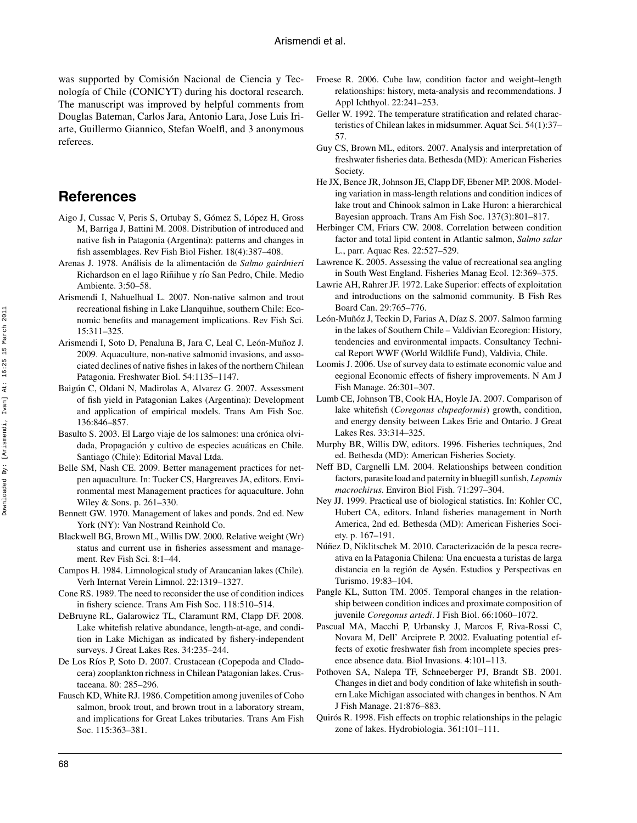was supported by Comisión Nacional de Ciencia y Tecnología of Chile (CONICYT) during his doctoral research. The manuscript was improved by helpful comments from Douglas Bateman, Carlos Jara, Antonio Lara, Jose Luis Iriarte, Guillermo Giannico, Stefan Woelfl, and 3 anonymous referees.

## **References**

- Aigo J, Cussac V, Peris S, Ortubay S, Gómez S, López H, Gross M, Barriga J, Battini M. 2008. Distribution of introduced and native fish in Patagonia (Argentina): patterns and changes in fish assemblages. Rev Fish Biol Fisher. 18(4):387–408.
- Arenas J. 1978. Análisis de la alimentación de Salmo gairdnieri Richardson en el lago Riñihue y río San Pedro, Chile. Medio Ambiente. 3:50–58.
- Arismendi I, Nahuelhual L. 2007. Non-native salmon and trout recreational fishing in Lake Llanquihue, southern Chile: Economic benefits and management implications. Rev Fish Sci. 15:311–325.
- Arismendi I, Soto D, Penaluna B, Jara C, Leal C, León-Muñoz J. 2009. Aquaculture, non-native salmonid invasions, and associated declines of native fishes in lakes of the northern Chilean Patagonia. Freshwater Biol. 54:1135–1147.
- Baigún C, Oldani N, Madirolas A, Alvarez G. 2007. Assessment of fish yield in Patagonian Lakes (Argentina): Development and application of empirical models. Trans Am Fish Soc. 136:846–857.
- Basulto S. 2003. El Largo viaje de los salmones: una crónica olvidada, Propagación y cultivo de especies acuáticas en Chile. Santiago (Chile): Editorial Maval Ltda.
- Belle SM, Nash CE. 2009. Better management practices for netpen aquaculture. In: Tucker CS, Hargreaves JA, editors. Environmental mest Management practices for aquaculture. John Wiley & Sons. p. 261–330.
- Bennett GW. 1970. Management of lakes and ponds. 2nd ed. New York (NY): Van Nostrand Reinhold Co.
- Blackwell BG, Brown ML, Willis DW. 2000. Relative weight (Wr) status and current use in fisheries assessment and management. Rev Fish Sci. 8:1–44.
- Campos H. 1984. Limnological study of Araucanian lakes (Chile). Verh Internat Verein Limnol. 22:1319–1327.
- Cone RS. 1989. The need to reconsider the use of condition indices in fishery science. Trans Am Fish Soc. 118:510–514.
- DeBruyne RL, Galarowicz TL, Claramunt RM, Clapp DF. 2008. Lake whitefish relative abundance, length-at-age, and condition in Lake Michigan as indicated by fishery-independent surveys. J Great Lakes Res. 34:235–244.
- De Los Ríos P, Soto D. 2007. Crustacean (Copepoda and Cladocera) zooplankton richness in Chilean Patagonian lakes. Crustaceana. 80: 285–296.
- Fausch KD, White RJ. 1986. Competition among juveniles of Coho salmon, brook trout, and brown trout in a laboratory stream, and implications for Great Lakes tributaries. Trans Am Fish Soc. 115:363–381.
- Froese R. 2006. Cube law, condition factor and weight–length relationships: history, meta-analysis and recommendations. J Appl Ichthyol. 22:241–253.
- Geller W. 1992. The temperature stratification and related characteristics of Chilean lakes in midsummer. Aquat Sci. 54(1):37– 57.
- Guy CS, Brown ML, editors. 2007. Analysis and interpretation of freshwater fisheries data. Bethesda (MD): American Fisheries Society.
- He JX, Bence JR, Johnson JE, Clapp DF, Ebener MP. 2008. Modeling variation in mass-length relations and condition indices of lake trout and Chinook salmon in Lake Huron: a hierarchical Bayesian approach. Trans Am Fish Soc. 137(3):801–817.
- Herbinger CM, Friars CW. 2008. Correlation between condition factor and total lipid content in Atlantic salmon, *Salmo salar* L., parr. Aquac Res. 22:527–529.
- Lawrence K. 2005. Assessing the value of recreational sea angling in South West England. Fisheries Manag Ecol. 12:369–375.
- Lawrie AH, Rahrer JF. 1972. Lake Superior: effects of exploitation and introductions on the salmonid community. B Fish Res Board Can. 29:765–776.
- León-Muñóz J, Teckin D, Farias A, Díaz S. 2007. Salmon farming in the lakes of Southern Chile – Valdivian Ecoregion: History, tendencies and environmental impacts. Consultancy Technical Report WWF (World Wildlife Fund), Valdivia, Chile.
- Loomis J. 2006. Use of survey data to estimate economic value and eegional Economic effects of fishery improvements. N Am J Fish Manage. 26:301–307.
- Lumb CE, Johnson TB, Cook HA, Hoyle JA. 2007. Comparison of lake whitefish (*Coregonus clupeaformis*) growth, condition, and energy density between Lakes Erie and Ontario. J Great Lakes Res. 33:314–325.
- Murphy BR, Willis DW, editors. 1996. Fisheries techniques, 2nd ed. Bethesda (MD): American Fisheries Society.
- Neff BD, Cargnelli LM. 2004. Relationships between condition factors, parasite load and paternity in bluegill sunfish, *Lepomis macrochirus*. Environ Biol Fish. 71:297–304.
- Ney JJ. 1999. Practical use of biological statistics. In: Kohler CC, Hubert CA, editors. Inland fisheries management in North America, 2nd ed. Bethesda (MD): American Fisheries Society. p. 167–191.
- Núñez D, Niklitschek M. 2010. Caracterización de la pesca recreativa en la Patagonia Chilena: Una encuesta a turistas de larga distancia en la región de Aysén. Estudios y Perspectivas en Turismo. 19:83–104.
- Pangle KL, Sutton TM. 2005. Temporal changes in the relationship between condition indices and proximate composition of juvenile *Coregonus artedi*. J Fish Biol. 66:1060–1072.
- Pascual MA, Macchi P, Urbansky J, Marcos F, Riva-Rossi C, Novara M, Dell' Arciprete P. 2002. Evaluating potential effects of exotic freshwater fish from incomplete species presence absence data. Biol Invasions. 4:101–113.
- Pothoven SA, Nalepa TF, Schneeberger PJ, Brandt SB. 2001. Changes in diet and body condition of lake whitefish in southern Lake Michigan associated with changes in benthos. N Am J Fish Manage. 21:876–883.
- Quirós R. 1998. Fish effects on trophic relationships in the pelagic zone of lakes. Hydrobiologia. 361:101–111.